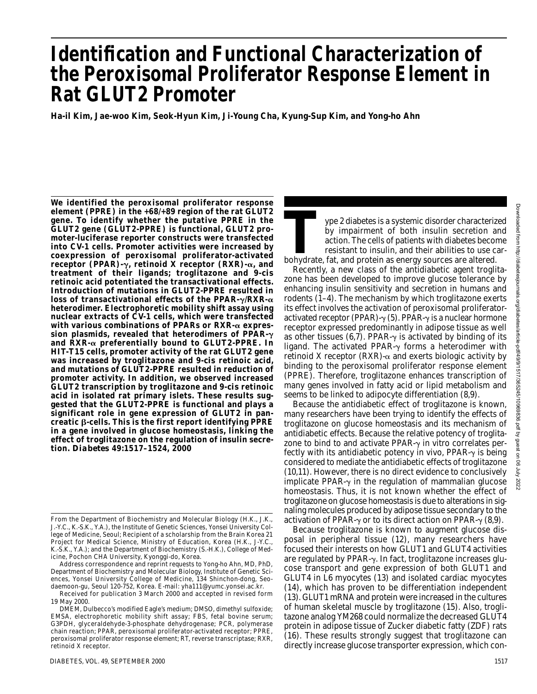# **Identification and Functional Characterization of the Peroxisomal Proliferator Response Element in Rat GLUT2 Promoter**

**Ha-il Kim, Jae-woo Kim, Seok-Hyun Kim, Ji-Young Cha, Kyung-Sup Kim, and Yong-ho Ahn**

**We identified the peroxisomal proliferator response element (PPRE) in the +68/+89 region of the rat GLUT2 gene. To identify whether the putative PPRE in the GLUT2 gene (GLUT2-PPRE) is functional, GLUT2 promoter-luciferase reporter constructs were transfected into CV-1 cells. Promoter activities were increased by coexpression of peroxisomal proliferator-activated receptor (PPAR)-**-**, retinoid X receptor (RXR)-, and treatment of their ligands; troglitazone and 9-***cis* **retinoic acid potentiated the transactivational effects. Introduction of mutations in GLUT2-PPRE resulted in loss of transactivational effects of the PPAR-γ/RXR-α heterodimer. Electrophoretic mobility shift assay using nuclear extracts of CV-1 cells, which were transfected with various combinations of PPARs or RXR- expression plasmids, revealed that heterodimers of PPAR-** and  $\overline{R}XR$ - $\alpha$  preferentially bound to GLUT2-PPRE. In **HIT-T15 cells, promoter activity of the rat GLUT2 gene was increased by troglitazone and 9-***cis* **retinoic acid, and mutations of GLUT2-PPRE resulted in reduction of promoter activity. In addition, we observed increased GLUT2 transcription by troglitazone and 9-***cis* **retinoic acid in isolated rat primary islets. These results suggested that the GLUT2-PPRE is functional and plays a significant role in gene expression of GLUT2 in pancreatic -cells. This is the first report identifying PPRE in a gene involved in glucose homeostasis, linking the effect of troglitazone on the regulation of insulin secretion.** *Diabetes* **49:1517–1524, 2000**

Downloaded from http://diabetesjournals.org/diabetes/article-pdf/49/9/1517/365245/10969836.pdf by guest on 06 Downloaded from http://diabetesjournals.org/diabetes/article-pdf/49/9/1517/365245/10969836.pdf by guest on 06 July 2022γlb

2022

Type 2 diabetes is a systemic disorder characterized<br>by impairment of both insulin secretion and<br>action. The cells of patients with diabetes become<br>resistant to insulin, and their abilities to use car-<br>bohydrate, fat, and by impairment of both insulin secretion and action. The cells of patients with diabetes become resistant to insulin, and their abilities to use car-

Recently, a new class of the antidiabetic agent troglitazone has been developed to improve glucose tolerance by enhancing insulin sensitivity and secretion in humans and rodents (1–4). The mechanism by which troglitazone exerts its effect involves the activation of peroxisomal proliferatoractivated receptor (PPAR)- $\gamma$  (5). PPAR- $\gamma$  is a nuclear hormone receptor expressed predominantly in adipose tissue as well as other tissues (6,7). PPAR- $\gamma$  is activated by binding of its ligand. The activated PPAR- $\gamma$  forms a heterodimer with retinoid X receptor (RXR)- $\alpha$  and exerts biologic activity by binding to the peroxisomal proliferator response element (PPRE). Therefore, troglitazone enhances transcription of many genes involved in fatty acid or lipid metabolism and seems to be linked to adipocyte differentiation (8,9).

Because the antidiabetic effect of troglitazone is known, many researchers have been trying to identify the effects of troglitazone on glucose homeostasis and its mechanism of antidiabetic effects. Because the relative potency of troglitazone to bind to and activate PPAR- $\gamma$  in vitro correlates perfectly with its antidiabetic potency in vivo,  $PPAR-\gamma$  is being considered to mediate the antidiabetic effects of troglitazone (10,11). However, there is no direct evidence to conclusively implicate PPAR- $\gamma$  in the regulation of mammalian glucose homeostasis. Thus, it is not known whether the effect of troglitazone on glucose homeostasis is due to alterations in signaling molecules produced by adipose tissue secondary to the activation of PPAR- $\gamma$  or to its direct action on PPAR- $\gamma$  (8,9).

Because troglitazone is known to augment glucose disposal in peripheral tissue (12), many researchers have focused their interests on how GLUT1 and GLUT4 activities are regulated by PPAR- $\gamma$ . In fact, troglitazone increases glucose transport and gene expression of both GLUT1 and GLUT4 in L6 myocytes (13) and isolated cardiac myocytes (14), which has proven to be differentiation independent (13). GLUT1 mRNA and protein were increased in the cultures of human skeletal muscle by troglitazone (15). Also, troglitazone analog YM268 could normalize the decreased GLUT4 protein in adipose tissue of Zucker diabetic fatty (ZDF) rats (16). These results strongly suggest that troglitazone can directly increase glucose transporter expression, which con-

From the Department of Biochemistry and Molecular Biology (H.K., J.K., J.-Y.C., K.-S.K., Y.A.), the Institute of Genetic Sciences, Yonsei University College of Medicine, Seoul; Recipient of a scholarship from the Brain Korea 21 Project for Medical Science, Ministry of Education, Korea (H.K., J-Y.C., K.-S.K., Y.A.); and the Department of Biochemistry (S.-H.K.), College of Medicine, Pochon CHA University, Kyonggi-do, Korea.

Address correspondence and reprint requests to Yong-ho Ahn, MD, PhD, Department of Biochemistry and Molecular Biology, Institute of Genetic Sciences, Yonsei University College of Medicine, 134 Shinchon-dong, Seodaemoon-gu, Seoul 120-752, Korea. E-mail: yha111@yumc.yonsei.ac.kr.

Received for publication 3 March 2000 and accepted in revised form 19 May 2000.

DMEM, Dulbecco's modified Eagle's medium; DMSO, dimethyl sulfoxide; EMSA, electrophoretic mobility shift assay; FBS, fetal bovine serum; G3PDH, glyceraldehyde-3-phosphate dehydrogenase; PCR, polymerase chain reaction; PPAR, peroxisomal proliferator-activated receptor; PPRE, peroxisomal proliferator response element; RT, reverse transcriptase; RXR, retinoid X receptor.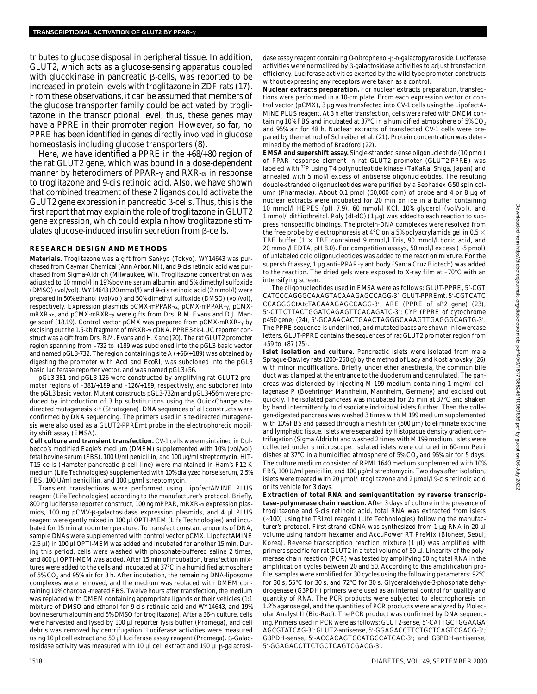tributes to glucose disposal in peripheral tissue. In addition, GLUT2, which acts as a glucose-sensing apparatus coupled with glucokinase in pancreatic  $\beta$ -cells, was reported to be increased in protein levels with troglitazone in ZDF rats (17). From these observations, it can be assumed that members of the glucose transporter family could be activated by troglitazone in the transcriptional level; thus, these genes may have a PPRE in their promoter region. However, so far, no PPRE has been identified in genes directly involved in glucose homeostasis including glucose transporters (8).

Here, we have identified a PPRE in the +68/+80 region of the rat GLUT2 gene, which was bound in a dose-dependent manner by heterodimers of PPAR- $\gamma$  and RXR- $\alpha$  in response to troglitazone and 9-*cis* retinoic acid. Also, we have shown that combined treatment of these 2 ligands could activate the GLUT2 gene expression in pancreatic  $\beta$ -cells. Thus, this is the first report that may explain the role of troglitazone in GLUT2 gene expression, which could explain how troglitazone stimulates glucose-induced insulin secretion from  $\beta$ -cells.

## **RESEARCH DESIGN AND METHODS**

**Materials.** Troglitazone was a gift from Sankyo (Tokyo). WY14643 was purchased from Cayman Chemical (Ann Arbor, MI), and 9-*cis* retinoic acid was purchased from Sigma-Aldrich (Milwaukee, WI). Troglitazone concentration was adjusted to 10 mmol/l in 19% bovine serum albumin and 5% dimethyl sulfoxide (DMSO) (vol/vol). WY14643 (20 mmol/l) and 9-*cis* retinoic acid (2 mmol/l) were prepared in 50% ethanol (vol/vol) and 50% dimethyl sulfoxide (DMSO) (vol/vol), respectively. Expression plasmids pCMX-mPPAR-α, pCMX-mPPAR-γ, pCMXmRXR-α, and pCMX-mRXR-γ were gifts from Drs. R.M. Evans and D.J. Mangelsdorf (18,19). Control vector pCMX was prepared from pCMX-mRXR- $\gamma$  by excising out the 1.5-kb fragment of  $mRXR \gamma$  cDNA. PPRE3-tk-LUC reporter construct was a gift from Drs. R.M. Evans and H. Kang (20). The rat GLUT2 promoter region spanning from –732 to +189 was subcloned into the pGL3 basic vector and named pGL3-732. The region containing site A (+56/+189) was obtained by digesting the promoter with *Acc*I and *Eco*RI, was subcloned into the pGL3 basic luciferase reporter vector, and was named pGL3+56.

pGL3-381 and pGL3-126 were constructed by amplifying rat GLUT2 promoter regions of –381/+189 and –126/+189, respectively, and subcloned into the pGL3 basic vector. Mutant constructs pGL3-732m and pGL3+56m were produced by introduction of 3 bp substitutions using the QuickChange sitedirected mutagenesis kit (Stratagene). DNA sequences of all constructs were confirmed by DNA sequencing. The primers used in site-directed mutagenesis were also used as a GLUT2-PPREmt probe in the electrophoretic mobility shift assay (EMSA).

**Cell culture and transient transfection.** CV-1 cells were maintained in Dulbecco's modified Eagle's medium (DMEM) supplemented with 10% (vol/vol) fetal bovine serum (FBS), 100 U/ml penicillin, and 100 µg/ml streptomycin. HIT-T15 cells (Hamster pancreatic  $\beta$ -cell line) were maintained in Ham's F12-K medium (Life Technologies) supplemented with 10% dialyzed horse serum, 2.5% FBS, 100 U/ml penicillin, and 100 µg/ml streptomycin.

Transient transfections were performed using LipofectAMINE PLUS reagent (Life Technologies) according to the manufacturer's protocol. Briefly, 800 ng luciferase reporter construct, 100 ng mPPAR, mRXR- $\alpha$  expression plasmids, 100 ng pCMV- $\beta$ -galactosidase expression plasmids, and 4  $\mu$ l PLUS reagent were gently mixed in 100 µl OPTI-MEM (Life Technologies) and incubated for 15 min at room temperature. To transfect constant amounts of DNA, sample DNAs were supplemented with control vector pCMX. LipofectAMINE (2.5 µl) in 100 µl OPTI-MEM was added and incubated for another 15 min. During this period, cells were washed with phosphate-buffered saline 2 times, and 800 µl OPTI-MEM was added. After 15 min of incubation, transfection mixtures were added to the cells and incubated at 37°C in a humidified atmosphere of 5%  $CO<sub>2</sub>$  and 95% air for 3 h. After incubation, the remaining DNA-liposome complexes were removed, and the medium was replaced with DMEM containing 10% charcoal-treated FBS. Twelve hours after transfection, the medium was replaced with DMEM containing appropriate ligands or their vehicles (1:1 mixture of DMSO and ethanol for 9-*cis* retinoic acid and WY14643, and 19% bovine serum albumin and 5% DMSO for troglitazone). After a 36-h culture, cells were harvested and lysed by 100 µl reporter lysis buffer (Promega), and cell debris was removed by centrifugation. Luciferase activities were measured using 10  $\mu$ l cell extract and 50  $\mu$ l luciferase assay reagent (Promega).  $\beta$ -Galactosidase activity was measured with 10  $\mu$ l cell extract and 190  $\mu$ l  $\beta$ -galactosi-

dase assay reagent containing O-nitrophenol- $\beta$ -D-galactopyranoside. Luciferase activities were normalized by  $\beta$ -galactosidase activities to adjust transfection efficiency. Luciferase activities exerted by the wild-type promoter constructs without expressing any receptors were taken as a control.

**Nuclear extracts preparation.** For nuclear extracts preparation, transfections were performed in a 10-cm plate. From each expression vector or control vector (pCMX), 3 µg was transfected into CV-1 cells using the LipofectA-MINE PLUS reagent. At 3 h after transfection, cells were refed with DMEM containing 10% FBS and incubated at 37°C in a humidified atmosphere of 5%  $CO<sub>2</sub>$ and 95% air for 48 h. Nuclear extracts of transfected CV-1 cells were prepared by the method of Schreiber et al. (21). Protein concentration was determined by the method of Bradford (22).

**EMSA and supershift assay.** Single-stranded sense oligonucleotide (10 pmol) of PPAR response element in rat GLUT2 promoter (GLUT2-PPRE) was labeled with <sup>32</sup>P using T4 polynucleotide kinase (TaKaRa, Shiga, Japan) and annealed with 5 mol/l excess of antisense oligonucleotides. The resulting double-stranded oligonucleotides were purified by a Sephadex G50 spin column (Pharmacia). About 0.1 pmol (50,000 cpm) of probe and 4 or 8 µg of nuclear extracts were incubated for 20 min on ice in a buffer containing 10 mmol/l HEPES (pH 7.9), 60 mmol/l KCl, 10% glycerol (vol/vol), and 1 mmol/l dithiothreitol. Poly (dI-dC) (1 µg) was added to each reaction to suppress nonspecific bindings. The protein-DNA complexes were resolved from the free probe by electrophoresis at 4°C on a 5% polyacrylamide gel in 0.5  $\times$ TBE buffer ( $1 \times$  TBE contained 9 mmol/l Tris, 90 mmol/l boric acid, and 20 mmol/l EDTA, pH 8.0). For competition assays, 50 mol/l excess (~5 pmol) of unlabeled cold oligonucleotides was added to the reaction mixture. For the supershift assay, 1 μg anti–PPAR-γ antibody (Santa Cruz Biotech) was added to the reaction. The dried gels were exposed to X-ray film at –70°C with an intensifying screen.

The oligonucleotides used in EMSA were as follows: GLUT-PPRE, 5'-CGT CATCCCAGGGCAAAGTACAAAGAGCCAGG-3; GLUT-PPREmt, 5-CGTCATC CCAGGGCtAtcTACAAAGAGCCAGG-3; ARE (PPRE of aP2 gene) (23), 5-CTTCTTACTGGATCAGAGTTCACAGATC-3; CYP (PPRE of cytochrome p450 gene) (24), 5'-GCAAACACTGAACTAGGGCAAAGTTGAGGGCAGTG-3'. The PPRE sequence is underlined, and mutated bases are shown in lowercase letters. GLUT-PPRE contains the sequences of rat GLUT2 promoter region from  $+59$  to  $+87$  (25).

**Islet isolation and culture.** Pancreatic islets were isolated from male Sprague-Dawley rats (200–250 g) by the method of Lacy and Kostianovsky (26) with minor modifications. Briefly, under ether anesthesia, the common bile duct was clamped at the entrance to the duodenum and cannulated. The pancreas was distended by injecting M 199 medium containing 1 mg/ml collagenase P (Boehringer Mannheim, Mannheim, Germany) and excised out quickly. The isolated pancreas was incubated for 25 min at 37°C and shaken by hand intermittently to dissociate individual islets further. Then the collagen-digested pancreas was washed 3 times with M 199 medium supplemented with 10% FBS and passed through a mesh filter  $(500 \,\mu m)$  to eliminate exocrine and lymphatic tissue. Islets were separated by Histopaque density gradient centrifugation (Sigma Aldrich) and washed 2 times with M 199 medium. Islets were collected under a microscope. Isolated islets were cultured in 60-mm Petri dishes at 37°C in a humidified atmosphere of 5%  $CO<sub>2</sub>$  and 95% air for 5 days. The culture medium consisted of RPMI 1640 medium supplemented with 10% FBS, 100 U/ml penicillin, and 100 µg/ml streptomycin. Two days after isolation, islets were treated with 20 µmol/l troglitazone and 2 µmol/l 9-*cis* retinoic acid or its vehicle for 3 days.

**Extraction of total RNA and semiquantitation by reverse transcriptase–polymerase chain reaction.** After 3 days of culture in the presence of troglitazone and 9-*cis* retinoic acid, total RNA was extracted from islets (~100) using the TRIzol reagent (Life Technologies) following the manufacturer's protocol. First-strand cDNA was synthesized from 1 µg RNA in 20 µl volume using random hexamer and AccuPower RT PreMix (Bioneer, Seoul, Korea). Reverse transcription reaction mixture  $(1 \mu l)$  was amplified with primers specific for rat GLUT2 in a total volume of 50 µl. Linearity of the polymerase chain reaction (PCR) was tested by amplifying 50 ng total RNA in the amplification cycles between 20 and 50. According to this amplification profile, samples were amplified for 30 cycles using the following parameters: 92°C for 30 s, 55°C for 30 s, and 72°C for 30 s. Glyceraldehyde-3-phosphate dehydrogenase (G3PDH) primers were used as an internal control for quality and quantity of RNA. The PCR products were subjected to electrophoresis on 1.2% agarose gel, and the quantities of PCR products were analyzed by Molecular Analyst II (Bio-Rad). The PCR product was confirmed by DNA sequencing. Primers used in PCR were as follows: GLUT2-sense, 5'-CATTGCTGGAAGA AGCGTATCAG-3'; GLUT2-antisense, 5'-GGAGACCTTCTGCTCAGTCGACG-3'; G3PDH-sense, 5-ACCACAGTCCATGCCATCAC-3; and G3PDH-antisense, 5-GGAGACCTTCTGCTCAGTCGACG-3.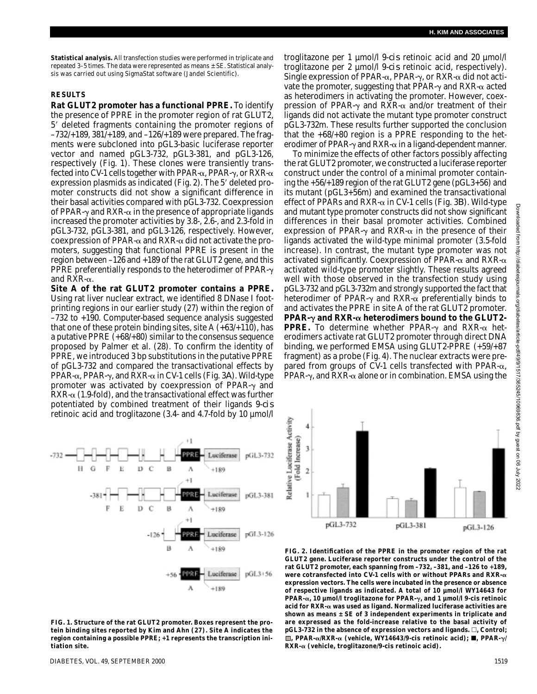**Statistical analysis.** All transfection studies were performed in triplicate and repeated 3–5 times. The data were represented as means ± SE. Statistical analysis was carried out using SigmaStat software (Jandel Scientific).

## **RESULTS**

**Rat GLUT2 promoter has a functional PPRE.** To identify the presence of PPRE in the promoter region of rat GLUT2, 5 deleted fragments containing the promoter regions of –732/+189, 381/+189, and –126/+189 were prepared. The fragments were subcloned into pGL3-basic luciferase reporter vector and named pGL3-732, pGL3-381, and pGL3-126, respectively (Fig. 1). These clones were transiently transfected into CV-1 cells together with PPAR- $\alpha$ , PPAR- $\gamma$ , or RXR- $\alpha$ expression plasmids as indicated (Fig. 2). The 5' deleted promoter constructs did not show a significant difference in their basal activities compared with pGL3-732. Coexpression of PPAR- $\gamma$  and RXR- $\alpha$  in the presence of appropriate ligands increased the promoter activities by 3.8-, 2.6-, and 2.3-fold in pGL3-732, pGL3-381, and pGL3-126, respectively. However, coexpression of PPAR- $\alpha$  and RXR- $\alpha$  did not activate the promoters, suggesting that functional PPRE is present in the region between –126 and +189 of the rat GLUT2 gene, and this PPRE preferentially responds to the heterodimer of PPAR- $\gamma$ and RXR- $\alpha$ .

**Site A of the rat GLUT2 promoter contains a PPRE.** Using rat liver nuclear extract, we identified 8 DNase I footprinting regions in our earlier study (27) within the region of –732 to +190. Computer-based sequence analysis suggested that one of these protein binding sites, site A  $(+63/+110)$ , has a putative PPRE (+68/+80) similar to the consensus sequence proposed by Palmer et al. (28). To confirm the identity of PPRE, we introduced 3 bp substitutions in the putative PPRE of pGL3-732 and compared the transactivational effects by PPAR-α, PPAR-γ, and RXR-α in CV-1 cells (Fig. 3*A*). Wild-type promoter was activated by coexpression of PPAR- $\gamma$  and  $RXR-\alpha$  (1.9-fold), and the transactivational effect was further potentiated by combined treatment of their ligands 9-*cis* retinoic acid and troglitazone (3.4- and 4.7-fold by 10 µmol/l



**FIG. 1. Structure of the rat GLUT2 promoter. Boxes represent the protein binding sites reported by Kim and Ahn (27). Site A indicates the region containing a possible PPRE; +1 represents the transcription initiation site.**

troglitazone per 1 µmol/l 9-*cis* retinoic acid and 20 µmol/l troglitazone per 2 µmol/l 9-*cis* retinoic acid, respectively). Single expression of PPAR- $\alpha$ , PPAR- $\gamma$ , or RXR- $\alpha$  did not activate the promoter, suggesting that PPAR- $\gamma$  and RXR- $\alpha$  acted as heterodimers in activating the promoter. However, coexpression of PPAR- $\gamma$  and RXR- $\alpha$  and/or treatment of their ligands did not activate the mutant type promoter construct pGL3-732m. These results further supported the conclusion that the +68/+80 region is a PPRE responding to the heterodimer of PPAR- $\gamma$  and RXR- $\alpha$  in a ligand-dependent manner.

To minimize the effects of other factors possibly affecting the rat GLUT2 promoter, we constructed a luciferase reporter construct under the control of a minimal promoter containing the +56/+189 region of the rat GLUT2 gene (pGL3+56) and its mutant (pGL3+56m) and examined the transactivational effect of PPARs and RXR- $\alpha$  in CV-1 cells (Fig. 3*B*). Wild-type and mutant type promoter constructs did not show significant differences in their basal promoter activities. Combined expression of PPAR- $\gamma$  and RXR- $\alpha$  in the presence of their ligands activated the wild-type minimal promoter (3.5-fold increase). In contrast, the mutant type promoter was not activated significantly. Coexpression of PPAR- $\alpha$  and RXR- $\alpha$ activated wild-type promoter slightly. These results agreed well with those observed in the transfection study using pGL3-732 and pGL3-732m and strongly supported the fact that heterodimer of PPAR- $\gamma$  and RXR- $\alpha$  preferentially binds to and activates the PPRE in site A of the rat GLUT2 promoter. **PPAR-** $\gamma$  **and RXR-** $\alpha$  **heterodimers bound to the GLUT2-PPRE.** To determine whether PPAR- $\gamma$  and RXR- $\alpha$  heterodimers activate rat GLUT2 promoter through direct DNA binding, we performed EMSA using GLUT2-PPRE (+59/+87 fragment) as a probe (Fig. 4). The nuclear extracts were prepared from groups of CV-1 cells transfected with PPAR- $\alpha$ , PPAR- $\gamma$ , and RXR- $\alpha$  alone or in combination. EMSA using the



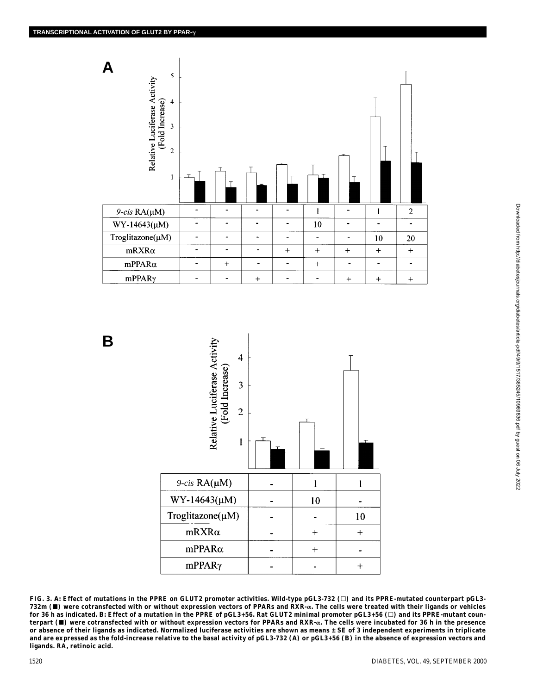**B**





**FIG. 3.** *A***: Effect of mutations in the PPRE on GLUT2 promoter activities. Wild-type pGL3-732 (**-**) and its PPRE-mutated counterpart pGL3- 732m () were cotransfected with or without expression vectors of PPARs and RXR-. The cells were treated with their ligands or vehicles for 36 h as indicated.** *B***: Effect of a mutation in the PPRE of pGL3+56. Rat GLUT2 minimal promoter pGL3+56 (**-**) and its PPRE-mutant counterpart () were cotransfected with or without expression vectors for PPARs and RXR-. The cells were incubated for 36 h in the presence or absence of their ligands as indicated. Normalized luciferase activities are shown as means ± SE of 3 independent experiments in triplicate and are expressed as the fold-increase relative to the basal activity of pGL3-732 (***A***) or pGL3+56 (***B***) in the absence of expression vectors and ligands. RA, retinoic acid.**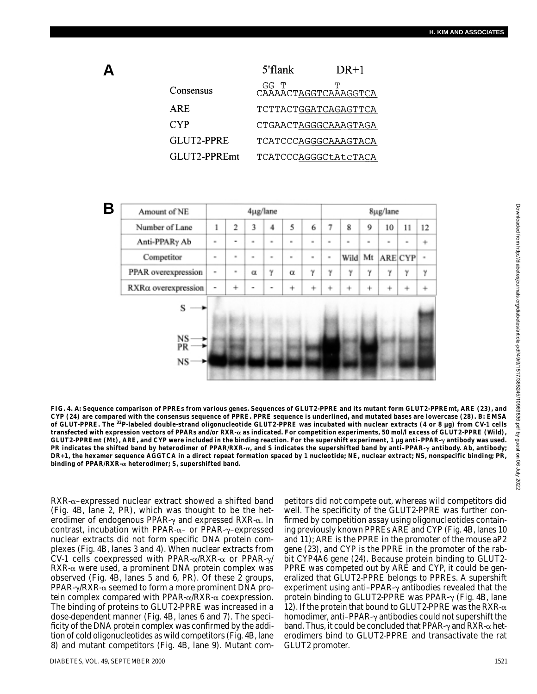|              | 5'flank | $DR+1$               |
|--------------|---------|----------------------|
| Consensus    | GG T    | CAAAACTAGGTCAAAGGTCA |
| ARE.         |         | TCTTACTGGATCAGAGTTCA |
| <b>CYP</b>   |         | CTGAACTAGGGCAAAGTAGA |
| GLUT2-PPRE   |         | TCATCCCAGGGCAAAGTACA |
| GLUT2-PPREmt |         | TCATCCCAGGGCtAtcTACA |
|              |         |                      |

**B**

**A**

| Amount of NE        | 4µg/lane       |           |                          |   | 8µg/lane  |   |                |      |    |    |         |           |
|---------------------|----------------|-----------|--------------------------|---|-----------|---|----------------|------|----|----|---------|-----------|
| Number of Lane      | ı              | 2         | 3                        | 4 | 5         | 6 |                | 8    | 9  | 10 | 11      | 12        |
| Anti-PPARy Ab       | $\equiv$       | ۰         | $\blacksquare$           | ٠ | ×.        | ٠ |                | ۰    |    |    |         | ÷         |
| Competitor          | -              | ٠         | $\overline{\phantom{a}}$ | ۰ | ۰         | ۰ | $\blacksquare$ | Wild | Mt |    | ARE CYP | $\bar{a}$ |
| PPAR overexpression | $\blacksquare$ | ٠         | $\alpha$                 | γ | α         | γ | γ              | γ    | γ  | γ  | γ       | γ         |
| RXRa overexpression | $\overline{a}$ | $\ddot{}$ | ۰                        |   | $\ddot{}$ |   |                |      | ÷, |    |         | ÷         |
| s                   |                |           |                          |   |           |   |                |      |    |    |         |           |
| NS<br>PR<br>NS      |                |           |                          |   |           |   |                |      |    |    |         |           |

**FIG. 4.** *A***: Sequence comparison of PPREs from various genes. Sequences of GLUT2-PPRE and its mutant form GLUT2-PPREmt, ARE (23), and CYP (24) are compared with the consensus sequence of PPRE. PPRE sequence is underlined, and mutated bases are lowercase (28).** *B***: EMSA of GLUT-PPRE. The 32P-labeled double-strand oligonucleotide GLUT2-PPRE was incubated with nuclear extracts (4 or 8 µg) from CV-1 cells transfected with expression vectors of PPARs and/or RXR- as indicated. For competition experiments, 50 mol/l excess of GLUT2-PPRE (Wild), GLUT2-PPREmt (Mt), ARE, and CYP were included in the binding reaction. For the supershift experiment, 1 µg anti–PPAR-**- **antibody was used. PR indicates the shifted band by heterodimer of PPAR/RXR-, and S indicates the supershifted band by anti–PPAR-**- **antibody. Ab, antibody; DR+1, the hexamer sequence AGGTCA in a direct repeat formation spaced by 1 nucleotide; NE, nuclear extract; NS, nonspecific binding; PR, binding of PPAR/RXR- heterodimer; S, supershifted band.**

 $RXR-\alpha$ –expressed nuclear extract showed a shifted band (Fig. 4B, lane 2, PR), which was thought to be the heterodimer of endogenous PPAR- $\gamma$  and expressed RXR- $\alpha$ . In contrast, incubation with PPAR- $\alpha$ – or PPAR- $\gamma$ –expressed nuclear extracts did not form specific DNA protein complexes (Fig. 4B, lanes 3 and 4). When nuclear extracts from CV-1 cells coexpressed with PPAR- $\alpha$ /RXR- $\alpha$  or PPAR- $\gamma$ /  $RXR-\alpha$  were used, a prominent DNA protein complex was observed (Fig. 4B, lanes 5 and 6, PR). Of these 2 groups, PPAR- $\gamma$ /RXR- $\alpha$  seemed to form a more prominent DNA protein complex compared with PPAR- $\alpha$ /RXR- $\alpha$  coexpression. The binding of proteins to GLUT2-PPRE was increased in a dose-dependent manner (Fig. 4B, lanes 6 and 7). The specificity of the DNA protein complex was confirmed by the addition of cold oligonucleotides as wild competitors (Fig. 4B, lane 8) and mutant competitors (Fig. 4B, lane 9). Mutant competitors did not compete out, whereas wild competitors did well. The specificity of the GLUT2-PPRE was further confirmed by competition assay using oligonucleotides containing previously known PPREs ARE and CYP (Fig. 4B, lanes 10 and 11); ARE is the PPRE in the promoter of the mouse aP2 gene (23), and CYP is the PPRE in the promoter of the rabbit CYP4A6 gene (24). Because protein binding to GLUT2- PPRE was competed out by ARE and CYP, it could be generalized that GLUT2-PPRE belongs to PPREs. A supershift experiment using anti–PPAR- $\gamma$  antibodies revealed that the protein binding to GLUT2-PPRE was PPAR- $\gamma$  (Fig. 4B, lane 12). If the protein that bound to GLUT2-PPRE was the RXR- $\alpha$ homodimer, anti–PPAR- $\gamma$  antibodies could not supershift the band. Thus, it could be concluded that PPAR- $\gamma$  and RXR- $\alpha$  heterodimers bind to GLUT2-PPRE and transactivate the rat GLUT2 promoter.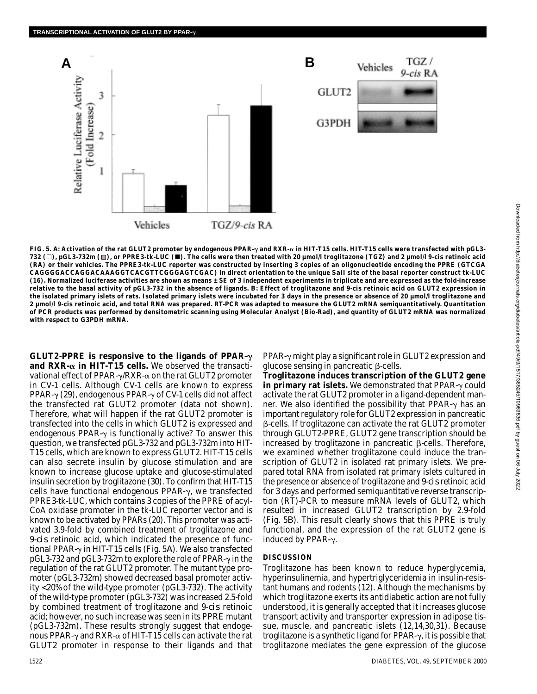

TGZ / Vehicles 9-cis RA GLUT2 G3PDH

FIG. 5. *A*: Activation of the rat GLUT2 promoter by endogenous PPAR- $\gamma$  and RXR- $\alpha$  in HIT-T15 cells. HIT-T15 cells were transfected with pGL3-**732 (**-**), pGL3-732m ( ), or PPRE3-tk-LUC (). The cells were then treated with 20 µmol/l troglitazone (TGZ) and 2 µmol/l 9-***cis* **retinoic acid (RA) or their vehicles. The PPRE3-tk-LUC reporter was constructed by inserting 3 copies of an oligonucleotide encoding the PPRE (GTCGA CAGGGGACCAGGACAAAGGTCACGTTCGGGAGTCGAC) in direct orientation to the unique** *Sal***I site of the basal reporter construct tk-LUC (16). Normalized luciferase activities are shown as means ± SE of 3 independent experiments in triplicate and are expressed as the fold-increase relative to the basal activity of pGL3-732 in the absence of ligands.** *B***: Effect of troglitazone and 9-***cis* **retinoic acid on GLUT2 expression in the isolated primary islets of rats. Isolated primary islets were incubated for 3 days in the presence or absence of 20 µmol/l troglitazone and 2 µmol/l 9-***cis* **retinoic acid, and total RNA was prepared. RT-PCR was adapted to measure the GLUT2 mRNA semiquantitatively. Quantitation of PCR products was performed by densitometric scanning using Molecular Analyst (Bio-Rad), and quantity of GLUT2 mRNA was normalized with respect to G3PDH mRNA.**

**GLUT2-PPRE is responsive to the ligands of PPAR-** and  $RXR-\alpha$  in HIT-T15 cells. We observed the transactivational effect of PPAR- $\gamma$ /RXR- $\alpha$  on the rat GLUT2 promoter in CV-1 cells. Although CV-1 cells are known to express PPAR- $\gamma$  (29), endogenous PPAR- $\gamma$  of CV-1 cells did not affect the transfected rat GLUT2 promoter (data not shown). Therefore, what will happen if the rat GLUT2 promoter is transfected into the cells in which GLUT2 is expressed and endogenous PPAR- $\gamma$  is functionally active? To answer this question, we transfected pGL3-732 and pGL3-732m into HIT-T15 cells, which are known to express GLUT2. HIT-T15 cells can also secrete insulin by glucose stimulation and are known to increase glucose uptake and glucose-stimulated insulin secretion by troglitazone (30). To confirm that HIT-T15 cells have functional endogenous PPAR- $\gamma$ , we transfected PPRE3-tk-LUC, which contains 3 copies of the PPRE of acyl-CoA oxidase promoter in the tk-LUC reporter vector and is known to be activated by PPARs (20). This promoter was activated 3.9-fold by combined treatment of troglitazone and 9-*cis* retinoic acid, which indicated the presence of functional PPAR- $\gamma$  in HIT-T15 cells (Fig. 5*A*). We also transfected pGL3-732 and pGL3-732m to explore the role of PPAR- $\gamma$  in the regulation of the rat GLUT2 promoter. The mutant type promoter (pGL3-732m) showed decreased basal promoter activity <20% of the wild-type promoter (pGL3-732). The activity of the wild-type promoter (pGL3-732) was increased 2.5-fold by combined treatment of troglitazone and 9-*cis* retinoic acid; however, no such increase was seen in its PPRE mutant (pGL3-732m). These results strongly suggest that endogenous PPAR- $\gamma$  and RXR- $\alpha$  of HIT-T15 cells can activate the rat GLUT2 promoter in response to their ligands and that

 $PPAR-\gamma$  might play a significant role in GLUT2 expression and glucose sensing in pancreatic  $\beta$ -cells.

**Troglitazone induces transcription of the GLUT2 gene**  $\bold{in}$   $\bold{primary}$   $\bold{rate}$   $\bold{islets}.$  We demonstrated that  $\bold{PPAR}\text{-}\gamma$  could activate the rat GLUT2 promoter in a ligand-dependent manner. We also identified the possibility that PPAR- $\gamma$  has an important regulatory role for GLUT2 expression in pancreatic -cells. If troglitazone can activate the rat GLUT2 promoter through GLUT2-PPRE, GLUT2 gene transcription should be increased by troglitazone in pancreatic  $\beta$ -cells. Therefore, we examined whether troglitazone could induce the transcription of GLUT2 in isolated rat primary islets. We prepared total RNA from isolated rat primary islets cultured in the presence or absence of troglitazone and 9-*cis* retinoic acid for 3 days and performed semiquantitative reverse transcription (RT)-PCR to measure mRNA levels of GLUT2, which resulted in increased GLUT2 transcription by 2.9-fold (Fig. 5*B*). This result clearly shows that this PPRE is truly functional, and the expression of the rat GLUT2 gene is induced by PPAR- $\gamma$ .

#### **DISCUSSION**

Troglitazone has been known to reduce hyperglycemia, hyperinsulinemia, and hypertriglyceridemia in insulin-resistant humans and rodents (12). Although the mechanisms by which troglitazone exerts its antidiabetic action are not fully understood, it is generally accepted that it increases glucose transport activity and transporter expression in adipose tissue, muscle, and pancreatic islets (12,14,30,31). Because troglitazone is a synthetic ligand for PPAR- $\gamma$ , it is possible that troglitazone mediates the gene expression of the glucose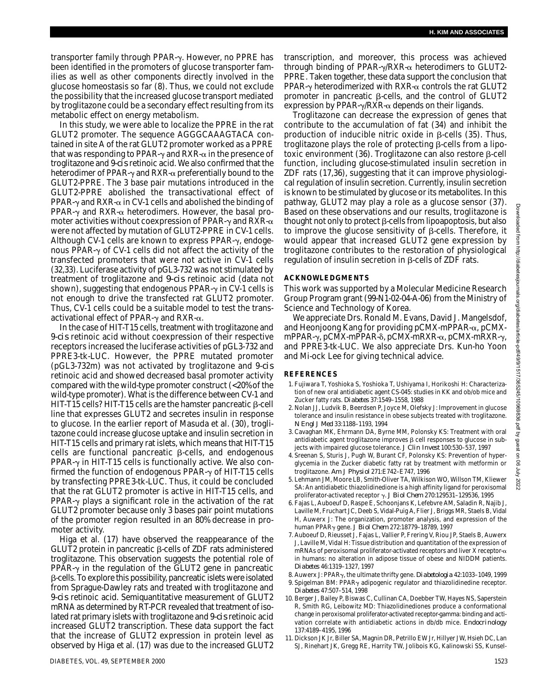transporter family through PPAR-γ. However, no PPRE has been identified in the promoters of glucose transporter families as well as other components directly involved in the glucose homeostasis so far (8). Thus, we could not exclude the possibility that the increased glucose transport mediated by troglitazone could be a secondary effect resulting from its metabolic effect on energy metabolism.

In this study, we were able to localize the PPRE in the rat GLUT2 promoter. The sequence AGGGCAAAGTACA contained in site A of the rat GLUT2 promoter worked as a PPRE that was responding to PPAR- $\gamma$  and RXR- $\alpha$  in the presence of troglitazone and 9-*cis* retinoic acid. We also confirmed that the heterodimer of PPAR- $\gamma$  and RXR- $\alpha$  preferentially bound to the GLUT2-PPRE. The 3 base pair mutations introduced in the GLUT2-PPRE abolished the transactivational effect of PPAR- $\gamma$  and RXR- $\alpha$  in CV-1 cells and abolished the binding of PPAR- $\gamma$  and RXR- $\alpha$  heterodimers. However, the basal promoter activities without coexpression of PPAR- $\gamma$  and RXR- $\alpha$ were not affected by mutation of GLUT2-PPRE in CV-1 cells. Although CV-1 cells are known to express PPAR- $\gamma$ , endogenous PPAR- $\gamma$  of CV-1 cells did not affect the activity of the transfected promoters that were not active in CV-1 cells (32,33). Luciferase activity of pGL3-732 was not stimulated by treatment of troglitazone and *9-cis* retinoic acid (data not shown), suggesting that endogenous PPAR- $\gamma$  in CV-1 cells is not enough to drive the transfected rat GLUT2 promoter. Thus, CV-1 cells could be a suitable model to test the transactivational effect of PPAR- $\gamma$  and RXR- $\alpha$ .

In the case of HIT-T15 cells, treatment with troglitazone and 9-*cis* retinoic acid without coexpression of their respective receptors increased the luciferase activities of pGL3-732 and PPRE3-tk-LUC. However, the PPRE mutated promoter (pGL3-732m) was not activated by troglitazone and 9-*cis* retinoic acid and showed decreased basal promoter activity compared with the wild-type promoter construct (<20% of the wild-type promoter). What is the difference between CV-1 and HIT-T15 cells? HIT-T15 cells are the hamster pancreatic  $\beta$ -cell line that expresses GLUT2 and secretes insulin in response to glucose. In the earlier report of Masuda et al. (30), troglitazone could increase glucose uptake and insulin secretion in HIT-T15 cells and primary rat islets, which means that HIT-T15 cells are functional pancreatic  $\beta$ -cells, and endogenous PPAR- $\gamma$  in HIT-T15 cells is functionally active. We also confirmed the function of endogenous PPAR- $\gamma$  of HIT-T15 cells by transfecting PPRE3-tk-LUC. Thus, it could be concluded that the rat GLUT2 promoter is active in HIT-T15 cells, and PPAR- $\gamma$  plays a significant role in the activation of the rat GLUT2 promoter because only 3 bases pair point mutations of the promoter region resulted in an 80% decrease in promoter activity.

Higa et al. (17) have observed the reappearance of the GLUT2 protein in pancreatic  $\beta$ -cells of ZDF rats administered troglitazone. This observation suggests the potential role of  $PPAR-\gamma$  in the regulation of the GLUT2 gene in pancreatic -cells. To explore this possibility, pancreatic islets were isolated from Sprague-Dawley rats and treated with troglitazone and 9-*cis* retinoic acid. Semiquantitative measurement of GLUT2 mRNA as determined by RT-PCR revealed that treatment of isolated rat primary islets with troglitazone and 9-*cis* retinoic acid increased GLUT2 transcription. These data support the fact that the increase of GLUT2 expression in protein level as observed by Higa et al. (17) was due to the increased GLUT2

transcription, and moreover, this process was achieved through binding of PPAR- $\gamma$ /RXR- $\alpha$  heterodimers to GLUT2-PPRE. Taken together, these data support the conclusion that PPAR- $\gamma$  heterodimerized with RXR- $\alpha$  controls the rat GLUT2 promoter in pancreatic  $\beta$ -cells, and the control of GLUT2 expression by PPAR- $\gamma$ /RXR- $\alpha$  depends on their ligands.

Troglitazone can decrease the expression of genes that contribute to the accumulation of fat (34) and inhibit the production of inducible nitric oxide in  $\beta$ -cells (35). Thus, troglitazone plays the role of protecting  $\beta$ -cells from a lipotoxic environment  $(36)$ . Troglitazone can also restore  $\beta$ -cell function, including glucose-stimulated insulin secretion in ZDF rats (17,36), suggesting that it can improve physiological regulation of insulin secretion. Currently, insulin secretion is known to be stimulated by glucose or its metabolites. In this pathway, GLUT2 may play a role as a glucose sensor (37). Based on these observations and our results, troglitazone is thought not only to protect  $\beta$ -cells from lipoapoptosis, but also to improve the glucose sensitivity of  $\beta$ -cells. Therefore, it would appear that increased GLUT2 gene expression by troglitazone contributes to the restoration of physiological regulation of insulin secretion in  $\beta$ -cells of ZDF rats.

#### **ACKNOWLEDGMENTS**

This work was supported by a Molecular Medicine Research Group Program grant (99-N1-02-04-A-06) from the Ministry of Science and Technology of Korea.

We appreciate Drs. Ronald M. Evans, David J. Mangelsdof, and Heonjoong Kang for providing  $pCMX$ -mPPAR- $\alpha$ ,  $pCMX$ mPPAR-γ, pCMX-mPPAR-δ, pCMX-mRXR-α, pCMX-mRXR-γ, and PPRE3-tk-LUC. We also appreciate Drs. Kun-ho Yoon and Mi-ock Lee for giving technical advice.

#### **REFERENCES**

- 1. Fujiwara T, Yoshioka S, Yoshioka T, Ushiyama I, Horikoshi H: Characterization of new oral antidiabetic agent CS-045: studies in KK and ob/ob mice and Zucker fatty rats. *Diabetes* 37:1549–1558, 1988
- 2. Nolan JJ, Ludvik B, Beerdsen P, Joyce M, Olefsky J: Improvement in glucose tolerance and insulin resistance in obese subjects treated with troglitazone. *N Engl J Med* 33:1188–1193, 1994
- 3. Cavaghan MK, Ehrmann DA, Byrne MM, Polonsky KS: Treatment with oral antidiabetic agent troglitazone improves  $\beta$  cell responses to glucose in subjects with impaired glucose tolerance. *J Clin Invest* 100:530–537, 1997
- 4. Sreenan S, Sturis J, Pugh W, Burant CF, Polonsky KS: Prevention of hyperglycemia in the Zucker diabetic fatty rat by treatment with metformin or troglitazone. *Am J Physiol* 271:E742–E747, 1996
- 5. Lehmann JM, Moore LB, Smith-Oliver TA, Wilkison WO, Willson TM, Kliewer SA: An antidiabetic thiazolidinedione is a high affinity ligand for peroxisomal proliferator-activated receptor γ. *J Biol Chem* 270:129531-129536, 1995
- 6. Fajas L, Auboeuf D, Raspe E, Schoonjans K, Lefebvre AM, Saladin R, Najib J, Laville M, Fruchart JC, Deeb S, Vidal-Puig A, Flier J, Briggs MR, Staels B, Vidal H, Auwerx J: The organization, promoter analysis, and expression of the human PPAR- gene. *J Biol Chem* 272:18779–18789, 1997
- 7. Auboeuf D, Rieusset J, Fajas L, Vallier P, Frering V, Riou JP, Staels B, Auwerx J, Laville M, Vidal H: Tissue distribution and quantitation of the expression of mRNAs of peroxisomal proliferator-activated receptors and liver X receptor- $\alpha$ in humans: no alteration in adipose tissue of obese and NIDDM patients. *Diabetes* 46:1319–1327, 1997
- 8. Auwerx J: PPAR-, the ultimate thrifty gene. *Diabetologia* 42:1033–1049, 1999 9. Spigelman BM: PPAR $_{\gamma}$  adipogenic regulator and thiazolidinedine receptor. *Diabetes* 47:507–514, 1998
- 10. Berger J, Bailey P, Biswas C, Cullinan CA, Doebber TW, Hayes NS, Saperstein R, Smith RG, Leibowitz MD: Thiazolidinediones produce a conformational change in peroxisomal proliferator-activated receptor-gamma: binding and activation correlate with antidiabetic actions in db/db mice. *Endocrinology* 137:4189–4195, 1996
- 11. Dickson JK Jr, Biller SA, Magnin DR, Petrillo EW Jr, Hillyer JW, Hsieh DC, Lan SJ, Rinehart JK, Gregg RE, Harrity TW, Jolibois KG, Kalinowski SS, Kunsel-